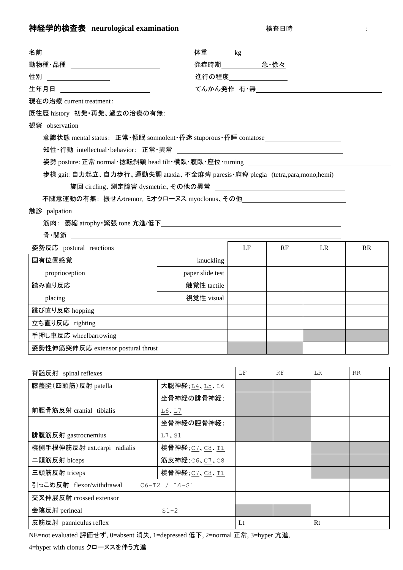## **神経学的検査表 neurological examination** カランプ および 検査日時 : 2002年 2012年 : 2013年 2022年 2023年 : 2023年 2023年 2023年 2023年 2023年 2023年 2023年 2023年 2023年 2023年 2023年 2023年 2023年 2023年 2023年 2023年 2023年 2023年 2023年 2023年 2023年 2023年 2023

| 査日<br>使。 | 時 |
|----------|---|
|----------|---|

| 名前                                                                               |                                            | 体重_________kg |    |     |           |  |  |  |
|----------------------------------------------------------------------------------|--------------------------------------------|---------------|----|-----|-----------|--|--|--|
| 動物種・品種 ______________                                                            |                                            | 発症時期 息·徐々     |    |     |           |  |  |  |
| 性別                                                                               | 進行の程度_________                             |               |    |     |           |  |  |  |
| 生年月日 <u>_____________________</u>                                                | てんかん発作 有・無 <u>________________________</u> |               |    |     |           |  |  |  |
| 現在の治療 current treatment:                                                         |                                            |               |    |     |           |  |  |  |
| 既往歴 history 初発・再発、過去の治療の有無:                                                      |                                            |               |    |     |           |  |  |  |
| 観察 observation                                                                   |                                            |               |    |     |           |  |  |  |
| 意識状態 mental status: 正常·傾眠 somnolent·昏迷 stuporous·昏睡 comatose____________________ |                                            |               |    |     |           |  |  |  |
|                                                                                  |                                            |               |    |     |           |  |  |  |
| 姿勢 posture:正常 normal・捻転斜頸 head tilt・横臥・腹臥・座位・turning                             |                                            |               |    |     |           |  |  |  |
| 歩様 gait: 自力起立、自力歩行、運動失調 ataxia、不全麻痺 paresis · 麻痺 plegia (tetra,para,mono,hemi)   |                                            |               |    |     |           |  |  |  |
|                                                                                  |                                            |               |    |     |           |  |  |  |
| 不随意運動の有無:振せんtremor,ミオクローヌス myoclonus、その他                                         |                                            |               |    |     |           |  |  |  |
| 触診 palpation                                                                     |                                            |               |    |     |           |  |  |  |
| 筋肉:萎縮 atrophy ·緊張 tone 亢進/低下___________________________                          |                                            |               |    |     |           |  |  |  |
| 骨·関節                                                                             |                                            |               |    |     |           |  |  |  |
| 姿勢反応 postural reactions                                                          |                                            | LF            | RF | LR. | <b>RR</b> |  |  |  |
| 固有位置感覚                                                                           | knuckling                                  |               |    |     |           |  |  |  |
| proprioception                                                                   | paper slide test                           |               |    |     |           |  |  |  |
| 踏み直り反応                                                                           | 触覚性 tactile                                |               |    |     |           |  |  |  |
| placing                                                                          | 視覚性 visual                                 |               |    |     |           |  |  |  |
| 跳び直り反応 hopping                                                                   |                                            |               |    |     |           |  |  |  |
| 立ち直り反応 righting                                                                  |                                            |               |    |     |           |  |  |  |
| 手押し車反応 wheelbarrowing                                                            |                                            |               |    |     |           |  |  |  |
| 姿勢性伸筋突伸反応 extensor postural thrust                                               |                                            |               |    |     |           |  |  |  |
|                                                                                  |                                            |               |    |     |           |  |  |  |
| 脊髄反射 spinal reflexes                                                             |                                            | $\rm LF$      | RF | LR  | RR        |  |  |  |
| 膝蓋腱(四頭筋)反射 patella                                                               | 大腿神経;L4、L5、L6                              |               |    |     |           |  |  |  |
|                                                                                  | 坐骨神経の腓骨神経;                                 |               |    |     |           |  |  |  |
| 前脛骨筋反射 cranial tibialis                                                          | L6, L7                                     |               |    |     |           |  |  |  |
|                                                                                  | 坐骨神経の脛骨神経;                                 |               |    |     |           |  |  |  |
| 腓腹筋反射 gastrocnemius                                                              | L7, S1                                     |               |    |     |           |  |  |  |
| 橈側手根伸筋反射 ext.carpi radialis                                                      | 橈骨神経;C7、C8、T1                              |               |    |     |           |  |  |  |

NE=not evaluated 評価せず, 0=absent 消失, 1=depressed 低下, 2=normal 正常, 3=hyper 亢進,

皮筋反射 panniculus reflex and a set of the set of the last set of the last set of the last set of the last set of the last set of the last set of the last set of the last set of the last set of the last set of the last set o

二頭筋反射 biceps  $\vert$  筋皮神経;C6、C7、C8

三頭筋反射 triceps  $\left| \frac{1}{6} \right| \frac{1}{6} \frac{1}{6} \cdot \frac{1}{2}$ 

引っこめ反射 flexor/withdrawal C6-T2 / L6-S1

会陰反射 perineal S1-2

4=hyper with clonus クローヌスを伴う亢進

交叉伸展反射 crossed extensor